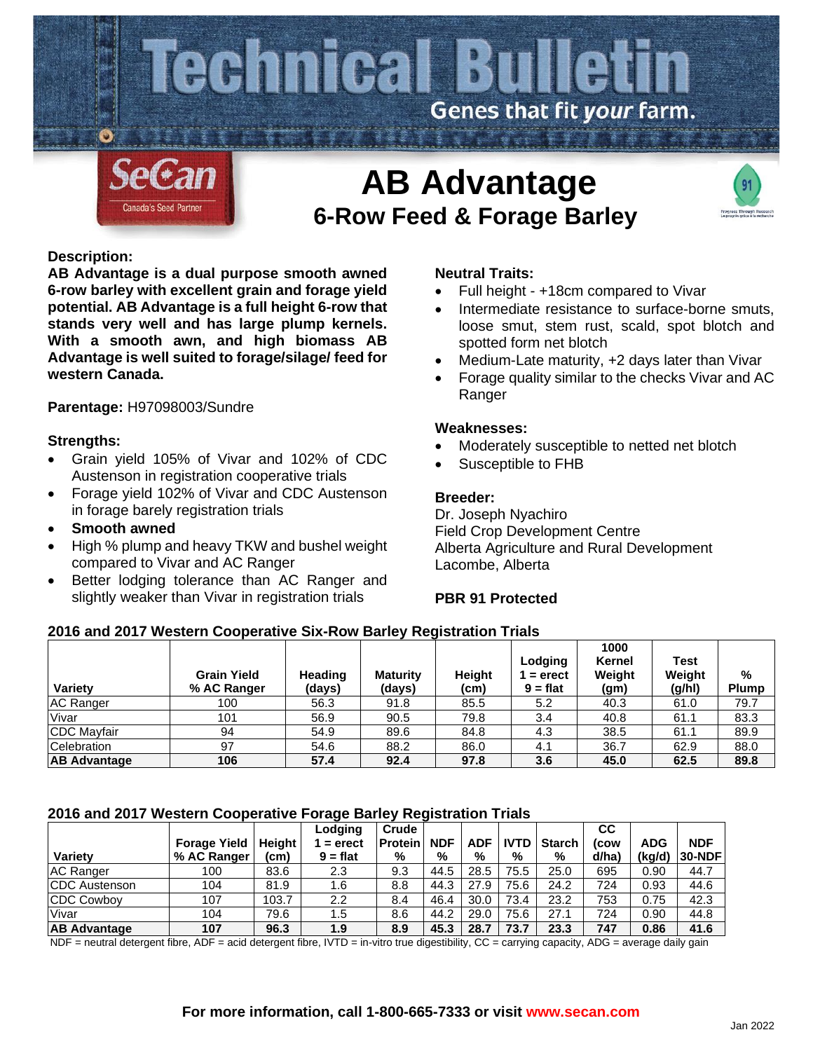

# **6-Row Feed & Forage Barley**



# **Description:**

**AB Advantage is a dual purpose smooth awned 6-row barley with excellent grain and forage yield potential. AB Advantage is a full height 6-row that stands very well and has large plump kernels. With a smooth awn, and high biomass AB Advantage is well suited to forage/silage/ feed for western Canada.**

# **Parentage:** H97098003/Sundre

### **Strengths:**

- Grain yield 105% of Vivar and 102% of CDC Austenson in registration cooperative trials
- Forage yield 102% of Vivar and CDC Austenson in forage barely registration trials
- **Smooth awned**
- High % plump and heavy TKW and bushel weight compared to Vivar and AC Ranger
- Better lodging tolerance than AC Ranger and slightly weaker than Vivar in registration trials

# **Neutral Traits:**

- Full height +18cm compared to Vivar
- Intermediate resistance to surface-borne smuts, loose smut, stem rust, scald, spot blotch and spotted form net blotch
- Medium-Late maturity, +2 days later than Vivar
- Forage quality similar to the checks Vivar and AC Ranger

#### **Weaknesses:**

- Moderately susceptible to netted net blotch
- Susceptible to FHB

### **Breeder:**

Dr. Joseph Nyachiro Field Crop Development Centre Alberta Agriculture and Rural Development Lacombe, Alberta

### **PBR 91 Protected**

### **2016 and 2017 Western Cooperative Six-Row Barley Registration Trials**

| Variety             | <b>Grain Yield</b><br>% AC Ranger | Heading<br>(days) | <b>Maturity</b><br>(days) | <b>Height</b><br>(cm) | Lodging<br>1 = erect<br>$9 = flat$ | 1000<br>Kernel<br>Weight<br>(g <sub>m</sub> ) | Test<br>Weight<br>(g/h) | %<br><b>Plump</b> |
|---------------------|-----------------------------------|-------------------|---------------------------|-----------------------|------------------------------------|-----------------------------------------------|-------------------------|-------------------|
| <b>IAC Ranger</b>   | 100                               | 56.3              | 91.8                      | 85.5                  | 5.2                                | 40.3                                          | 61.0                    | 79.7              |
| Vivar               | 101                               | 56.9              | 90.5                      | 79.8                  | 3.4                                | 40.8                                          | 61.1                    | 83.3              |
| CDC Mayfair         | 94                                | 54.9              | 89.6                      | 84.8                  | 4.3                                | 38.5                                          | 61.1                    | 89.9              |
| <b>Celebration</b>  | 97                                | 54.6              | 88.2                      | 86.0                  | 4.1                                | 36.7                                          | 62.9                    | 88.0              |
| <b>AB Advantage</b> | 106                               | 57.4              | 92.4                      | 97.8                  | 3.6                                | 45.0                                          | 62.5                    | 89.8              |

### **2016 and 2017 Western Cooperative Forage Barley Registration Trials**

| <b>Variety</b>       | <b>Forage Yield</b><br>% AC Ranger | Height<br>(cm) | Lodging<br>$=$ erect<br>$9 = flat$ | Crude<br><b>Protein</b><br>% | <b>NDF</b><br>% | <b>ADF</b><br>% | <b>IVTD</b><br>% | <b>Starch</b><br>% | <b>CC</b><br>(cow<br>d/ha) | <b>ADG</b><br>(kg/d) | <b>NDF</b><br> 30-NDF |
|----------------------|------------------------------------|----------------|------------------------------------|------------------------------|-----------------|-----------------|------------------|--------------------|----------------------------|----------------------|-----------------------|
|                      |                                    |                |                                    |                              |                 |                 |                  |                    |                            |                      |                       |
| <b>AC Ranger</b>     | 100                                | 83.6           | 2.3                                | 9.3                          | 44.5            | 28.5            | 75.5             | 25.0               | 695                        | 0.90                 | 44.7                  |
| <b>CDC</b> Austenson | 104                                | 81.9           | 1.6                                | 8.8                          | 44.3            | 27.9            | 75.6             | 24.2               | 724                        | 0.93                 | 44.6                  |
| <b>CDC Cowboy</b>    | 107                                | 103.7          | 2.2                                | 8.4                          | 46.4            | 30.0            | 73.4             | 23.2               | 753                        | 0.75                 | 42.3                  |
| Vivar                | 104                                | 79.6           | 1.5                                | 8.6                          | 44.2            | 29.0            | 75.6             | 27.1               | 724                        | 0.90                 | 44.8                  |
| <b>AB Advantage</b>  | 107                                | 96.3           | 1.9                                | 8.9                          | 45.3            | 28.7            | 73.7             | 23.3               | 747                        | 0.86                 | 41.6                  |

NDF = neutral detergent fibre, ADF = acid detergent fibre, IVTD = in-vitro true digestibility,  $CC$  = carrying capacity, ADG = average daily gain

#### **For more information, call 1-800-665-7333 or visit www.secan.com**